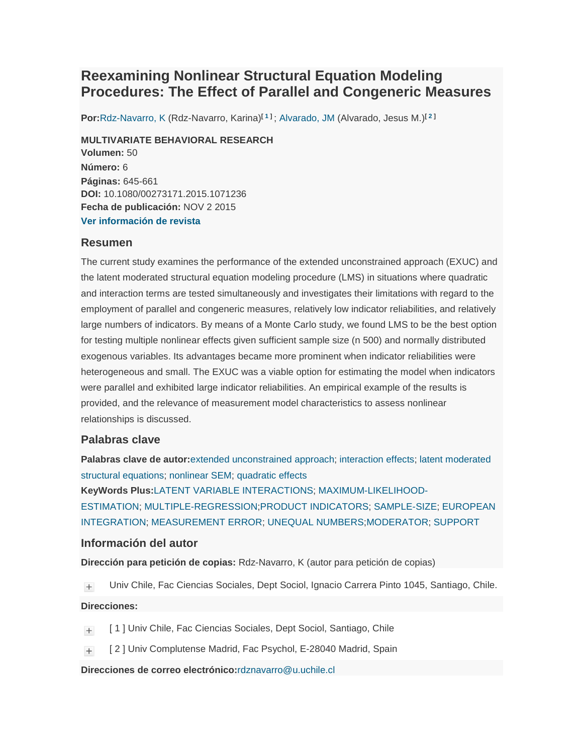# **Reexamining Nonlinear Structural Equation Modeling Procedures: The Effect of Parallel and Congeneric Measures**

**Por:**Rdz-Navarro, K (Rdz-Navarro, Karina)**[ 1 ]** ; Alvarado, JM (Alvarado, Jesus M.)**[ 2 ]**

**MULTIVARIATE BEHAVIORAL RESEARCH Volumen:** 50 **Número:** 6 **Páginas:** 645-661 **DOI:** 10.1080/00273171.2015.1071236 **Fecha de publicación:** NOV 2 2015 **Ver información de revista**

## **Resumen**

The current study examines the performance of the extended unconstrained approach (EXUC) and the latent moderated structural equation modeling procedure (LMS) in situations where quadratic and interaction terms are tested simultaneously and investigates their limitations with regard to the employment of parallel and congeneric measures, relatively low indicator reliabilities, and relatively large numbers of indicators. By means of a Monte Carlo study, we found LMS to be the best option for testing multiple nonlinear effects given sufficient sample size (n 500) and normally distributed exogenous variables. Its advantages became more prominent when indicator reliabilities were heterogeneous and small. The EXUC was a viable option for estimating the model when indicators were parallel and exhibited large indicator reliabilities. An empirical example of the results is provided, and the relevance of measurement model characteristics to assess nonlinear relationships is discussed.

### **Palabras clave**

**Palabras clave de autor:**extended unconstrained approach; interaction effects; latent moderated structural equations; nonlinear SEM; quadratic effects **KeyWords Plus:**LATENT VARIABLE INTERACTIONS; MAXIMUM-LIKELIHOOD-ESTIMATION; MULTIPLE-REGRESSION;PRODUCT INDICATORS; SAMPLE-SIZE; EUROPEAN INTEGRATION; MEASUREMENT ERROR; UNEQUAL NUMBERS;MODERATOR; SUPPORT

#### **Información del autor**

**Dirección para petición de copias:** Rdz-Navarro, K (autor para petición de copias)

 $+$ Univ Chile, Fac Ciencias Sociales, Dept Sociol, Ignacio Carrera Pinto 1045, Santiago, Chile.

#### **Direcciones:**

- [1] Univ Chile, Fac Ciencias Sociales, Dept Sociol, Santiago, Chile  $+$
- [ 2 ] Univ Complutense Madrid, Fac Psychol, E-28040 Madrid, Spain  $+$

**Direcciones de correo electrónico:**rdznavarro@u.uchile.cl